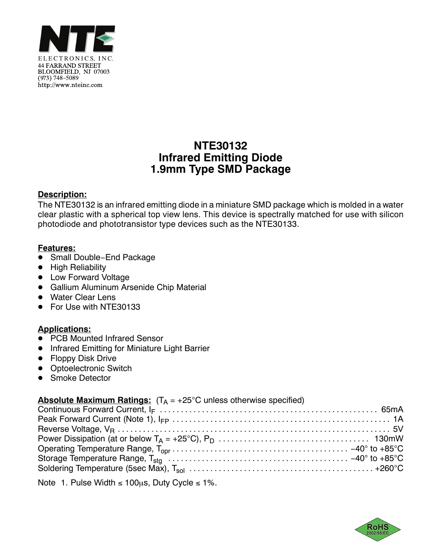

# **NTE30132 Infrared Emitting Diode 1.9mm Type SMD Package**

#### **Description:**

The NTE30132 is an infrared emitting diode in a miniature SMD package which is molded in a water clear plastic with a spherical top view lens. This device is spectrally matched for use with silicon photodiode and phototransistor type devices such as the NTE30133.

#### **Features:**

- <u>- Carmicur</u><br>● Small Double−End Package
- High Reliability
- Low Forward Voltage
- Gallium Aluminum Arsenide Chip Material
- Water Clear Lens
- For Use with NTE30133

## **Applications:**

- **PCB Mounted Infrared Sensor**
- Infrared Emitting for Miniature Light Barrier
- Floppy Disk Drive
- Optoelectronic Switch
- Smoke Detector

## **Absolute Maximum Ratings:**  $(T_A = +25^{\circ}C$  unless otherwise specified)

Note 1. Pulse Width  $\leq 100 \mu s$ , Duty Cycle  $\leq 1\%$ .